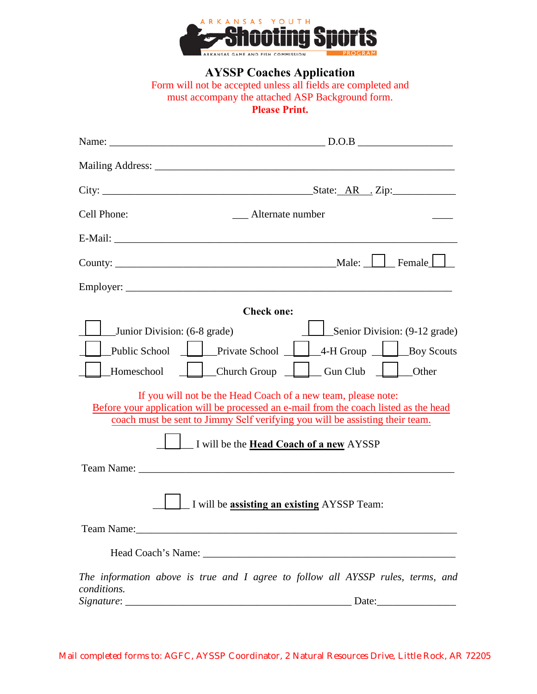

**AYSSP Coaches Application**

Form will not be accepted unless all fields are completed and must accompany the attached ASP Background form. **Please Print.**

| Cell Phone:                                                                                    | <b>Example 1</b> Alternate number                                                                                                                                                                                                                                                                                                                                                                           |  |  |  |  |
|------------------------------------------------------------------------------------------------|-------------------------------------------------------------------------------------------------------------------------------------------------------------------------------------------------------------------------------------------------------------------------------------------------------------------------------------------------------------------------------------------------------------|--|--|--|--|
|                                                                                                |                                                                                                                                                                                                                                                                                                                                                                                                             |  |  |  |  |
|                                                                                                |                                                                                                                                                                                                                                                                                                                                                                                                             |  |  |  |  |
|                                                                                                |                                                                                                                                                                                                                                                                                                                                                                                                             |  |  |  |  |
|                                                                                                | <b>Check one:</b>                                                                                                                                                                                                                                                                                                                                                                                           |  |  |  |  |
| Junior Division: (6-8 grade)<br><b>Public School</b><br>Homeschool                             | Senior Division: (9-12 grade)<br>4-H Group<br>Private School<br>Boy Scouts<br>Church Group<br>Gun Club<br>Other<br>If you will not be the Head Coach of a new team, please note:<br>Before your application will be processed an e-mail from the coach listed as the head<br>coach must be sent to Jimmy Self verifying you will be assisting their team.<br>I will be the <b>Head Coach of a new AYSSP</b> |  |  |  |  |
|                                                                                                |                                                                                                                                                                                                                                                                                                                                                                                                             |  |  |  |  |
| I will be assisting an existing AYSSP Team:                                                    |                                                                                                                                                                                                                                                                                                                                                                                                             |  |  |  |  |
|                                                                                                |                                                                                                                                                                                                                                                                                                                                                                                                             |  |  |  |  |
|                                                                                                |                                                                                                                                                                                                                                                                                                                                                                                                             |  |  |  |  |
| The information above is true and I agree to follow all AYSSP rules, terms, and<br>conditions. |                                                                                                                                                                                                                                                                                                                                                                                                             |  |  |  |  |
|                                                                                                | Date:                                                                                                                                                                                                                                                                                                                                                                                                       |  |  |  |  |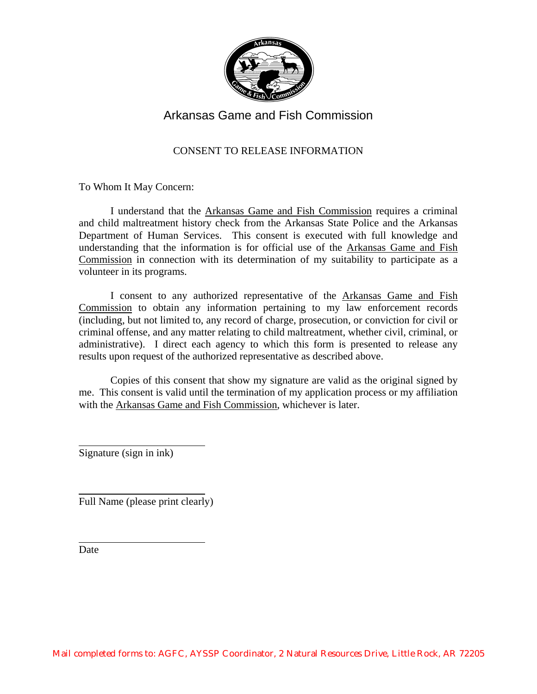

# Arkansas Game and Fish Commission

## CONSENT TO RELEASE INFORMATION

To Whom It May Concern:

 I understand that the Arkansas Game and Fish Commission requires a criminal and child maltreatment history check from the Arkansas State Police and the Arkansas Department of Human Services. This consent is executed with full knowledge and understanding that the information is for official use of the Arkansas Game and Fish Commission in connection with its determination of my suitability to participate as a volunteer in its programs.

 I consent to any authorized representative of the Arkansas Game and Fish Commission to obtain any information pertaining to my law enforcement records (including, but not limited to, any record of charge, prosecution, or conviction for civil or criminal offense, and any matter relating to child maltreatment, whether civil, criminal, or administrative). I direct each agency to which this form is presented to release any results upon request of the authorized representative as described above.

 Copies of this consent that show my signature are valid as the original signed by me. This consent is valid until the termination of my application process or my affiliation with the Arkansas Game and Fish Commission, whichever is later.

Signature (sign in ink)

Full Name (please print clearly)

Date

 $\overline{a}$ 

 $\overline{a}$ 

 $\overline{a}$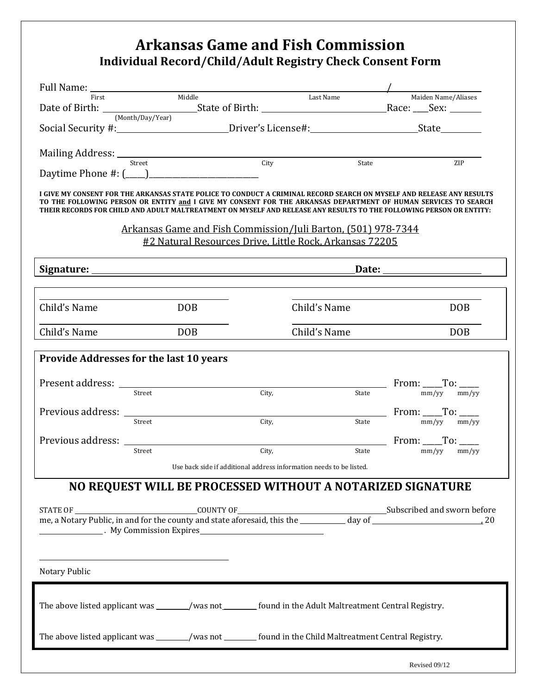# **Arkansas Game and Fish Commission Individual Record/Child/Adult Registry Check Consent Form**

| Full Name: First Middle |                                                                                                                                                                                                                                          |                                                                     |              | Maiden Name/Aliases                                                                                                                                                                                                                                                                                                                                             |  |
|-------------------------|------------------------------------------------------------------------------------------------------------------------------------------------------------------------------------------------------------------------------------------|---------------------------------------------------------------------|--------------|-----------------------------------------------------------------------------------------------------------------------------------------------------------------------------------------------------------------------------------------------------------------------------------------------------------------------------------------------------------------|--|
|                         |                                                                                                                                                                                                                                          |                                                                     | Last Name    |                                                                                                                                                                                                                                                                                                                                                                 |  |
|                         | (Month/Day/Year)                                                                                                                                                                                                                         |                                                                     |              |                                                                                                                                                                                                                                                                                                                                                                 |  |
|                         |                                                                                                                                                                                                                                          |                                                                     |              |                                                                                                                                                                                                                                                                                                                                                                 |  |
|                         |                                                                                                                                                                                                                                          | City                                                                |              |                                                                                                                                                                                                                                                                                                                                                                 |  |
|                         |                                                                                                                                                                                                                                          |                                                                     | State        | <b>ZIP</b>                                                                                                                                                                                                                                                                                                                                                      |  |
|                         |                                                                                                                                                                                                                                          |                                                                     |              |                                                                                                                                                                                                                                                                                                                                                                 |  |
|                         |                                                                                                                                                                                                                                          |                                                                     |              | I GIVE MY CONSENT FOR THE ARKANSAS STATE POLICE TO CONDUCT A CRIMINAL RECORD SEARCH ON MYSELF AND RELEASE ANY RESULTS<br>TO THE FOLLOWING PERSON OR ENTITY and I GIVE MY CONSENT FOR THE ARKANSAS DEPARTMENT OF HUMAN SERVICES TO SEARCH<br>THEIR RECORDS FOR CHILD AND ADULT MALTREATMENT ON MYSELF AND RELEASE ANY RESULTS TO THE FOLLOWING PERSON OR ENTITY: |  |
|                         | Arkansas Game and Fish Commission/Juli Barton, (501) 978-7344                                                                                                                                                                            |                                                                     |              |                                                                                                                                                                                                                                                                                                                                                                 |  |
|                         | #2 Natural Resources Drive, Little Rock, Arkansas 72205                                                                                                                                                                                  |                                                                     |              |                                                                                                                                                                                                                                                                                                                                                                 |  |
|                         |                                                                                                                                                                                                                                          |                                                                     |              |                                                                                                                                                                                                                                                                                                                                                                 |  |
|                         |                                                                                                                                                                                                                                          |                                                                     |              |                                                                                                                                                                                                                                                                                                                                                                 |  |
|                         |                                                                                                                                                                                                                                          |                                                                     |              |                                                                                                                                                                                                                                                                                                                                                                 |  |
| Child's Name            | <b>DOB</b>                                                                                                                                                                                                                               |                                                                     | Child's Name | <b>DOB</b>                                                                                                                                                                                                                                                                                                                                                      |  |
| Child's Name            | DOB                                                                                                                                                                                                                                      |                                                                     | Child's Name | <b>DOB</b>                                                                                                                                                                                                                                                                                                                                                      |  |
|                         |                                                                                                                                                                                                                                          |                                                                     |              |                                                                                                                                                                                                                                                                                                                                                                 |  |
|                         | Provide Addresses for the last 10 years                                                                                                                                                                                                  |                                                                     |              |                                                                                                                                                                                                                                                                                                                                                                 |  |
| Present address:        |                                                                                                                                                                                                                                          |                                                                     |              |                                                                                                                                                                                                                                                                                                                                                                 |  |
|                         | Street                                                                                                                                                                                                                                   | City,                                                               | State        | From: $_{\frac{mm/yy}{mm/yy}}$ To: $_{\frac{mm/yy}{mm/yy}}$                                                                                                                                                                                                                                                                                                     |  |
| Previous address:       |                                                                                                                                                                                                                                          |                                                                     |              |                                                                                                                                                                                                                                                                                                                                                                 |  |
|                         | Street                                                                                                                                                                                                                                   | City,                                                               | State        | From: $T$ o: $T$ o: $T$ <sub>mm/yy</sub>                                                                                                                                                                                                                                                                                                                        |  |
|                         |                                                                                                                                                                                                                                          |                                                                     |              |                                                                                                                                                                                                                                                                                                                                                                 |  |
|                         | Previous address: The Contract of the Contract of the Contract of the Contract of the Contract of the Contract of the Contract of the Contract of the Contract of the Contract of the Contract of the Contract of the Contract<br>Street | City,                                                               | State        | From: $\_\_$ To: $\_\_$<br>mm/vv<br>mm/vv                                                                                                                                                                                                                                                                                                                       |  |
|                         |                                                                                                                                                                                                                                          |                                                                     |              |                                                                                                                                                                                                                                                                                                                                                                 |  |
|                         |                                                                                                                                                                                                                                          | Use back side if additional address information needs to be listed. |              |                                                                                                                                                                                                                                                                                                                                                                 |  |
|                         | NO REQUEST WILL BE PROCESSED WITHOUT A NOTARIZED SIGNATURE                                                                                                                                                                               |                                                                     |              |                                                                                                                                                                                                                                                                                                                                                                 |  |
|                         |                                                                                                                                                                                                                                          |                                                                     |              |                                                                                                                                                                                                                                                                                                                                                                 |  |
|                         |                                                                                                                                                                                                                                          |                                                                     |              |                                                                                                                                                                                                                                                                                                                                                                 |  |
|                         | <b>EXECUTE:</b> My Commission Expires                                                                                                                                                                                                    |                                                                     |              |                                                                                                                                                                                                                                                                                                                                                                 |  |
|                         |                                                                                                                                                                                                                                          |                                                                     |              |                                                                                                                                                                                                                                                                                                                                                                 |  |
|                         |                                                                                                                                                                                                                                          |                                                                     |              |                                                                                                                                                                                                                                                                                                                                                                 |  |
| Notary Public           |                                                                                                                                                                                                                                          |                                                                     |              |                                                                                                                                                                                                                                                                                                                                                                 |  |
|                         |                                                                                                                                                                                                                                          |                                                                     |              |                                                                                                                                                                                                                                                                                                                                                                 |  |
|                         |                                                                                                                                                                                                                                          |                                                                     |              |                                                                                                                                                                                                                                                                                                                                                                 |  |
|                         | The above listed applicant was _______/was not ________ found in the Adult Maltreatment Central Registry.                                                                                                                                |                                                                     |              |                                                                                                                                                                                                                                                                                                                                                                 |  |
|                         |                                                                                                                                                                                                                                          |                                                                     |              |                                                                                                                                                                                                                                                                                                                                                                 |  |
|                         | The above listed applicant was ______/was not _______ found in the Child Maltreatment Central Registry.                                                                                                                                  |                                                                     |              |                                                                                                                                                                                                                                                                                                                                                                 |  |
|                         |                                                                                                                                                                                                                                          |                                                                     |              |                                                                                                                                                                                                                                                                                                                                                                 |  |
|                         |                                                                                                                                                                                                                                          |                                                                     |              | Revised 09/12                                                                                                                                                                                                                                                                                                                                                   |  |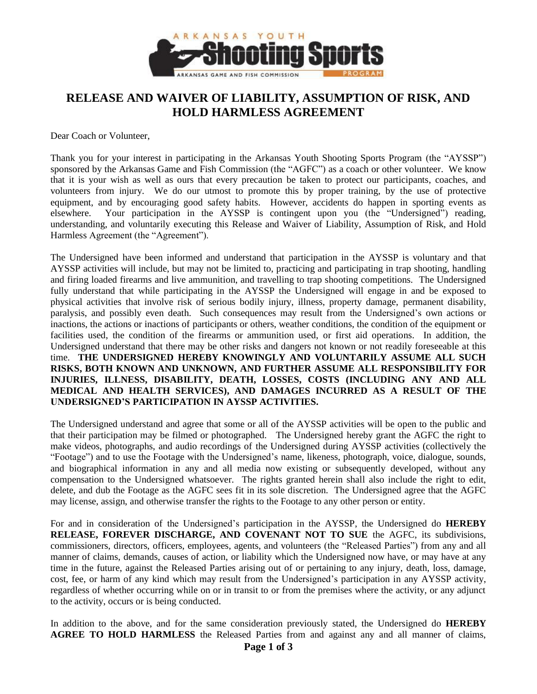

# **RELEASE AND WAIVER OF LIABILITY, ASSUMPTION OF RISK, AND HOLD HARMLESS AGREEMENT**

Dear Coach or Volunteer,

Thank you for your interest in participating in the Arkansas Youth Shooting Sports Program (the "AYSSP") sponsored by the Arkansas Game and Fish Commission (the "AGFC") as a coach or other volunteer. We know that it is your wish as well as ours that every precaution be taken to protect our participants, coaches, and volunteers from injury. We do our utmost to promote this by proper training, by the use of protective equipment, and by encouraging good safety habits. However, accidents do happen in sporting events as elsewhere. Your participation in the AYSSP is contingent upon you (the "Undersigned") reading, understanding, and voluntarily executing this Release and Waiver of Liability, Assumption of Risk, and Hold Harmless Agreement (the "Agreement").

The Undersigned have been informed and understand that participation in the AYSSP is voluntary and that AYSSP activities will include, but may not be limited to, practicing and participating in trap shooting, handling and firing loaded firearms and live ammunition, and travelling to trap shooting competitions. The Undersigned fully understand that while participating in the AYSSP the Undersigned will engage in and be exposed to physical activities that involve risk of serious bodily injury, illness, property damage, permanent disability, paralysis, and possibly even death. Such consequences may result from the Undersigned's own actions or inactions, the actions or inactions of participants or others, weather conditions, the condition of the equipment or facilities used, the condition of the firearms or ammunition used, or first aid operations. In addition, the Undersigned understand that there may be other risks and dangers not known or not readily foreseeable at this time. **THE UNDERSIGNED HEREBY KNOWINGLY AND VOLUNTARILY ASSUME ALL SUCH RISKS, BOTH KNOWN AND UNKNOWN, AND FURTHER ASSUME ALL RESPONSIBILITY FOR INJURIES, ILLNESS, DISABILITY, DEATH, LOSSES, COSTS (INCLUDING ANY AND ALL MEDICAL AND HEALTH SERVICES), AND DAMAGES INCURRED AS A RESULT OF THE UNDERSIGNED'S PARTICIPATION IN AYSSP ACTIVITIES.**

The Undersigned understand and agree that some or all of the AYSSP activities will be open to the public and that their participation may be filmed or photographed. The Undersigned hereby grant the AGFC the right to make videos, photographs, and audio recordings of the Undersigned during AYSSP activities (collectively the "Footage") and to use the Footage with the Undersigned's name, likeness, photograph, voice, dialogue, sounds, and biographical information in any and all media now existing or subsequently developed, without any compensation to the Undersigned whatsoever. The rights granted herein shall also include the right to edit, delete, and dub the Footage as the AGFC sees fit in its sole discretion. The Undersigned agree that the AGFC may license, assign, and otherwise transfer the rights to the Footage to any other person or entity.

For and in consideration of the Undersigned's participation in the AYSSP, the Undersigned do **HEREBY RELEASE, FOREVER DISCHARGE, AND COVENANT NOT TO SUE** the AGFC, its subdivisions, commissioners, directors, officers, employees, agents, and volunteers (the "Released Parties") from any and all manner of claims, demands, causes of action, or liability which the Undersigned now have, or may have at any time in the future, against the Released Parties arising out of or pertaining to any injury, death, loss, damage, cost, fee, or harm of any kind which may result from the Undersigned's participation in any AYSSP activity, regardless of whether occurring while on or in transit to or from the premises where the activity, or any adjunct to the activity, occurs or is being conducted.

In addition to the above, and for the same consideration previously stated, the Undersigned do **HEREBY AGREE TO HOLD HARMLESS** the Released Parties from and against any and all manner of claims,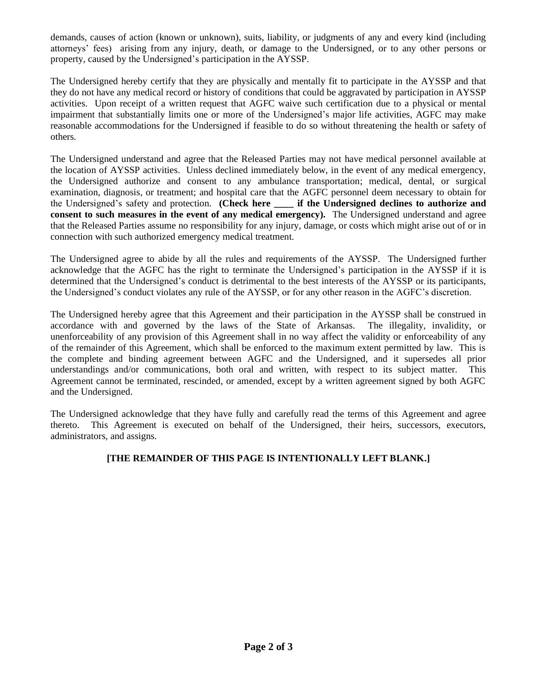demands, causes of action (known or unknown), suits, liability, or judgments of any and every kind (including attorneys' fees) arising from any injury, death, or damage to the Undersigned, or to any other persons or property, caused by the Undersigned's participation in the AYSSP.

The Undersigned hereby certify that they are physically and mentally fit to participate in the AYSSP and that they do not have any medical record or history of conditions that could be aggravated by participation in AYSSP activities. Upon receipt of a written request that AGFC waive such certification due to a physical or mental impairment that substantially limits one or more of the Undersigned's major life activities, AGFC may make reasonable accommodations for the Undersigned if feasible to do so without threatening the health or safety of others.

The Undersigned understand and agree that the Released Parties may not have medical personnel available at the location of AYSSP activities. Unless declined immediately below, in the event of any medical emergency, the Undersigned authorize and consent to any ambulance transportation; medical, dental, or surgical examination, diagnosis, or treatment; and hospital care that the AGFC personnel deem necessary to obtain for the Undersigned's safety and protection. **(Check here if the Undersigned declines to authorize and consent to such measures in the event of any medical emergency).** The Undersigned understand and agree that the Released Parties assume no responsibility for any injury, damage, or costs which might arise out of or in connection with such authorized emergency medical treatment.

The Undersigned agree to abide by all the rules and requirements of the AYSSP. The Undersigned further acknowledge that the AGFC has the right to terminate the Undersigned's participation in the AYSSP if it is determined that the Undersigned's conduct is detrimental to the best interests of the AYSSP or its participants, the Undersigned's conduct violates any rule of the AYSSP, or for any other reason in the AGFC's discretion.

The Undersigned hereby agree that this Agreement and their participation in the AYSSP shall be construed in accordance with and governed by the laws of the State of Arkansas. The illegality, invalidity, or unenforceability of any provision of this Agreement shall in no way affect the validity or enforceability of any of the remainder of this Agreement, which shall be enforced to the maximum extent permitted by law. This is the complete and binding agreement between AGFC and the Undersigned, and it supersedes all prior understandings and/or communications, both oral and written, with respect to its subject matter. This Agreement cannot be terminated, rescinded, or amended, except by a written agreement signed by both AGFC and the Undersigned.

The Undersigned acknowledge that they have fully and carefully read the terms of this Agreement and agree thereto. This Agreement is executed on behalf of the Undersigned, their heirs, successors, executors, administrators, and assigns.

### **[THE REMAINDER OF THIS PAGE IS INTENTIONALLY LEFT BLANK.]**